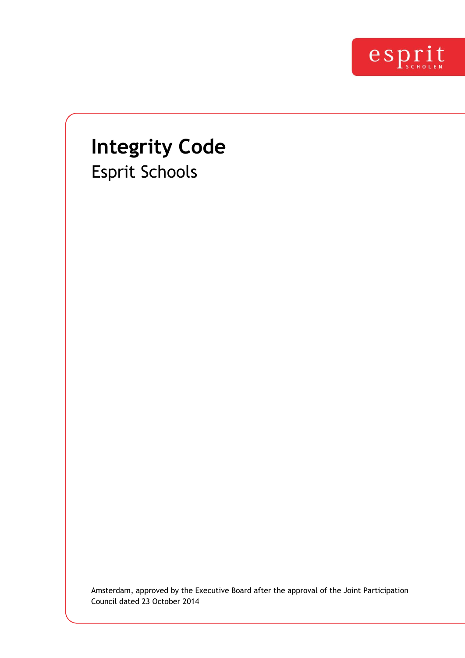

# **Integrity Code**  Esprit Schools

Amsterdam, approved by the Executive Board after the approval of the Joint Participation Council dated 23 October 2014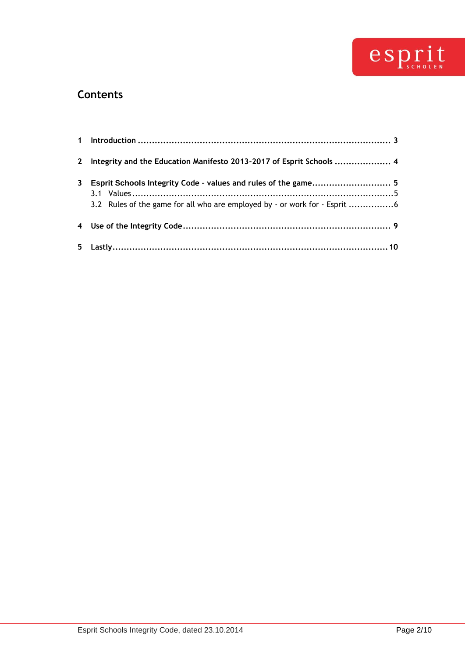

### **Contents**

|   | 2 Integrity and the Education Manifesto 2013-2017 of Esprit Schools  4   |  |
|---|--------------------------------------------------------------------------|--|
| 3 |                                                                          |  |
|   | 3.2 Rules of the game for all who are employed by - or work for - Esprit |  |
|   |                                                                          |  |
|   |                                                                          |  |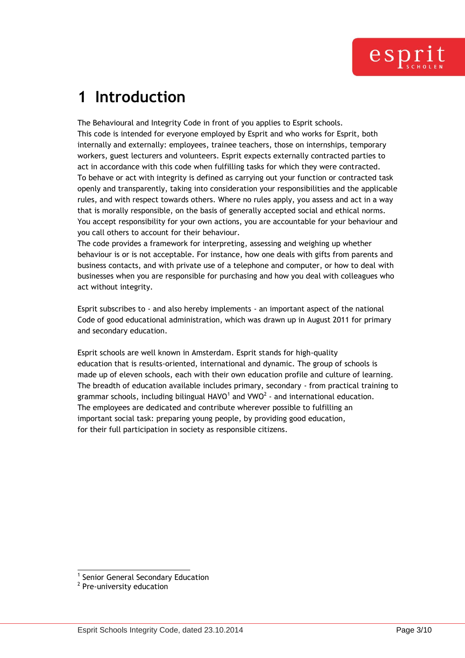## <span id="page-2-0"></span>**1 Introduction**

The Behavioural and Integrity Code in front of you applies to Esprit schools. This code is intended for everyone employed by Esprit and who works for Esprit, both internally and externally: employees, trainee teachers, those on internships, temporary workers, guest lecturers and volunteers. Esprit expects externally contracted parties to act in accordance with this code when fulfilling tasks for which they were contracted. To behave or act with integrity is defined as carrying out your function or contracted task openly and transparently, taking into consideration your responsibilities and the applicable rules, and with respect towards others. Where no rules apply, you assess and act in a way that is morally responsible, on the basis of generally accepted social and ethical norms. You accept responsibility for your own actions, you are accountable for your behaviour and you call others to account for their behaviour.

The code provides a framework for interpreting, assessing and weighing up whether behaviour is or is not acceptable. For instance, how one deals with gifts from parents and business contacts, and with private use of a telephone and computer, or how to deal with businesses when you are responsible for purchasing and how you deal with colleagues who act without integrity.

Esprit subscribes to - and also hereby implements - an important aspect of the national Code of good educational administration, which was drawn up in August 2011 for primary and secondary education.

Esprit schools are well known in Amsterdam. Esprit stands for high-quality education that is results-oriented, international and dynamic. The group of schools is made up of eleven schools, each with their own education profile and culture of learning. The breadth of education available includes primary, secondary - from practical training to grammar schools, including bilingual HAVO<sup>1</sup> and VWO<sup>2</sup> - and international education. The employees are dedicated and contribute wherever possible to fulfilling an important social task: preparing young people, by providing good education, for their full participation in society as responsible citizens.

l 1 Senior General Secondary Education

<sup>&</sup>lt;sup>2</sup> Pre-university education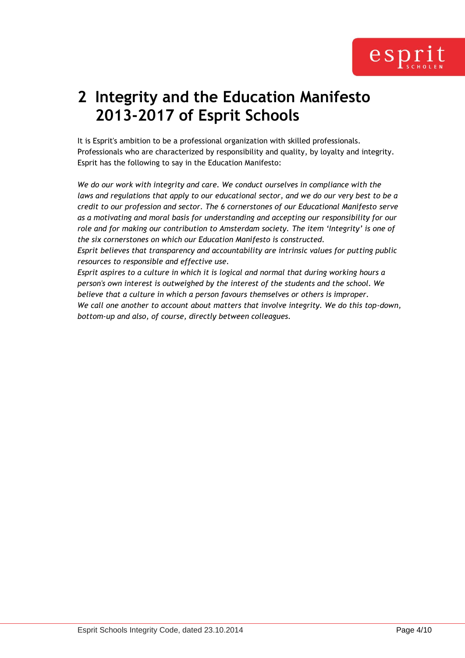

## <span id="page-3-0"></span>**2 Integrity and the Education Manifesto 2013-2017 of Esprit Schools**

It is Esprit's ambition to be a professional organization with skilled professionals. Professionals who are characterized by responsibility and quality, by loyalty and integrity. Esprit has the following to say in the Education Manifesto:

*We do our work with integrity and care. We conduct ourselves in compliance with the*  laws and regulations that apply to our educational sector, and we do our very best to be a *credit to our profession and sector. The 6 cornerstones of our Educational Manifesto serve as a motivating and moral basis for understanding and accepting our responsibility for our role and for making our contribution to Amsterdam society. The item 'Integrity' is one of the six cornerstones on which our Education Manifesto is constructed.* 

*Esprit believes that transparency and accountability are intrinsic values for putting public resources to responsible and effective use.* 

*Esprit aspires to a culture in which it is logical and normal that during working hours a person's own interest is outweighed by the interest of the students and the school. We believe that a culture in which a person favours themselves or others is improper. We call one another to account about matters that involve integrity. We do this top-down, bottom-up and also, of course, directly between colleagues.*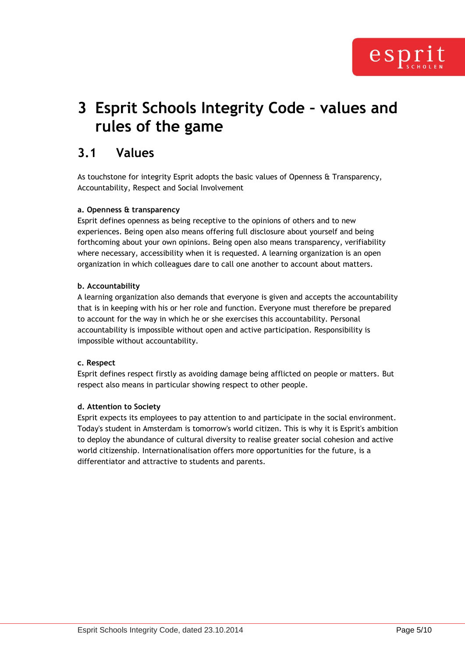## <span id="page-4-0"></span>**3 Esprit Schools Integrity Code – values and rules of the game**

### <span id="page-4-1"></span>**3.1 Values**

As touchstone for integrity Esprit adopts the basic values of Openness & Transparency, Accountability, Respect and Social Involvement

#### **a. Openness & transparency**

Esprit defines openness as being receptive to the opinions of others and to new experiences. Being open also means offering full disclosure about yourself and being forthcoming about your own opinions. Being open also means transparency, verifiability where necessary, accessibility when it is requested. A learning organization is an open organization in which colleagues dare to call one another to account about matters.

#### **b. Accountability**

A learning organization also demands that everyone is given and accepts the accountability that is in keeping with his or her role and function. Everyone must therefore be prepared to account for the way in which he or she exercises this accountability. Personal accountability is impossible without open and active participation. Responsibility is impossible without accountability.

#### **c. Respect**

Esprit defines respect firstly as avoiding damage being afflicted on people or matters. But respect also means in particular showing respect to other people.

#### **d. Attention to Society**

Esprit expects its employees to pay attention to and participate in the social environment. Today's student in Amsterdam is tomorrow's world citizen. This is why it is Esprit's ambition to deploy the abundance of cultural diversity to realise greater social cohesion and active world citizenship. Internationalisation offers more opportunities for the future, is a differentiator and attractive to students and parents.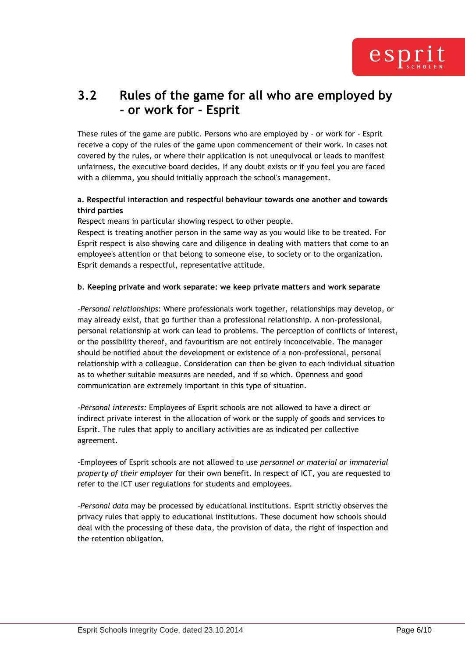

### <span id="page-5-0"></span>**3.2 Rules of the game for all who are employed by - or work for - Esprit**

These rules of the game are public. Persons who are employed by - or work for - Esprit receive a copy of the rules of the game upon commencement of their work. In cases not covered by the rules, or where their application is not unequivocal or leads to manifest unfairness, the executive board decides. If any doubt exists or if you feel you are faced with a dilemma, you should initially approach the school's management.

#### **a. Respectful interaction and respectful behaviour towards one another and towards third parties**

Respect means in particular showing respect to other people.

Respect is treating another person in the same way as you would like to be treated. For Esprit respect is also showing care and diligence in dealing with matters that come to an employee's attention or that belong to someone else, to society or to the organization. Esprit demands a respectful, representative attitude.

#### **b. Keeping private and work separate: we keep private matters and work separate**

*-Personal relationships*: Where professionals work together, relationships may develop, or may already exist, that go further than a professional relationship. A non-professional, personal relationship at work can lead to problems. The perception of conflicts of interest, or the possibility thereof, and favouritism are not entirely inconceivable. The manager should be notified about the development or existence of a non-professional, personal relationship with a colleague. Consideration can then be given to each individual situation as to whether suitable measures are needed, and if so which. Openness and good communication are extremely important in this type of situation.

*-Personal interests:* Employees of Esprit schools are not allowed to have a direct or indirect private interest in the allocation of work or the supply of goods and services to Esprit. The rules that apply to ancillary activities are as indicated per collective agreement.

-Employees of Esprit schools are not allowed to use *personnel or material or immaterial property of their employer* for their own benefit. In respect of ICT, you are requested to refer to the ICT user regulations for students and employees.

*-Personal data* may be processed by educational institutions. Esprit strictly observes the privacy rules that apply to educational institutions. These document how schools should deal with the processing of these data, the provision of data, the right of inspection and the retention obligation.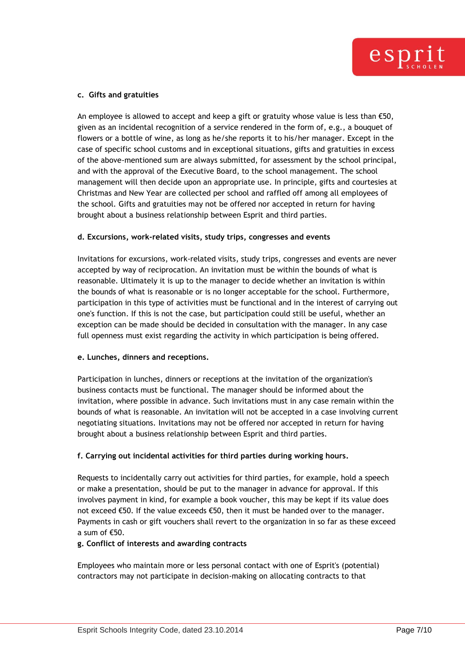

#### **c. Gifts and gratuities**

An employee is allowed to accept and keep a gift or gratuity whose value is less than  $\epsilon$ 50, given as an incidental recognition of a service rendered in the form of, e.g., a bouquet of flowers or a bottle of wine, as long as he/she reports it to his/her manager. Except in the case of specific school customs and in exceptional situations, gifts and gratuities in excess of the above-mentioned sum are always submitted, for assessment by the school principal, and with the approval of the Executive Board, to the school management. The school management will then decide upon an appropriate use. In principle, gifts and courtesies at Christmas and New Year are collected per school and raffled off among all employees of the school. Gifts and gratuities may not be offered nor accepted in return for having brought about a business relationship between Esprit and third parties.

#### **d. Excursions, work-related visits, study trips, congresses and events**

Invitations for excursions, work-related visits, study trips, congresses and events are never accepted by way of reciprocation. An invitation must be within the bounds of what is reasonable. Ultimately it is up to the manager to decide whether an invitation is within the bounds of what is reasonable or is no longer acceptable for the school. Furthermore, participation in this type of activities must be functional and in the interest of carrying out one's function. If this is not the case, but participation could still be useful, whether an exception can be made should be decided in consultation with the manager. In any case full openness must exist regarding the activity in which participation is being offered.

#### **e. Lunches, dinners and receptions.**

Participation in lunches, dinners or receptions at the invitation of the organization's business contacts must be functional. The manager should be informed about the invitation, where possible in advance. Such invitations must in any case remain within the bounds of what is reasonable. An invitation will not be accepted in a case involving current negotiating situations. Invitations may not be offered nor accepted in return for having brought about a business relationship between Esprit and third parties.

#### **f. Carrying out incidental activities for third parties during working hours.**

Requests to incidentally carry out activities for third parties, for example, hold a speech or make a presentation, should be put to the manager in advance for approval. If this involves payment in kind, for example a book voucher, this may be kept if its value does not exceed €50. If the value exceeds €50, then it must be handed over to the manager. Payments in cash or gift vouchers shall revert to the organization in so far as these exceed a sum of €50.

#### **g. Conflict of interests and awarding contracts**

Employees who maintain more or less personal contact with one of Esprit's (potential) contractors may not participate in decision-making on allocating contracts to that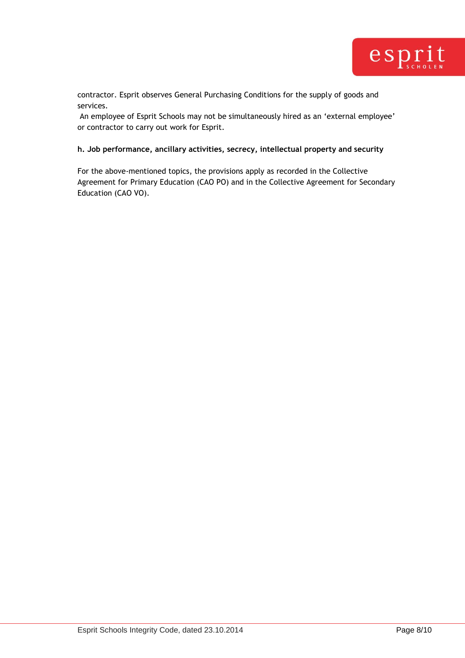

contractor. Esprit observes General Purchasing Conditions for the supply of goods and services.

An employee of Esprit Schools may not be simultaneously hired as an "external employee" or contractor to carry out work for Esprit.

#### **h. Job performance, ancillary activities, secrecy, intellectual property and security**

For the above-mentioned topics, the provisions apply as recorded in the Collective Agreement for Primary Education (CAO PO) and in the Collective Agreement for Secondary Education (CAO VO).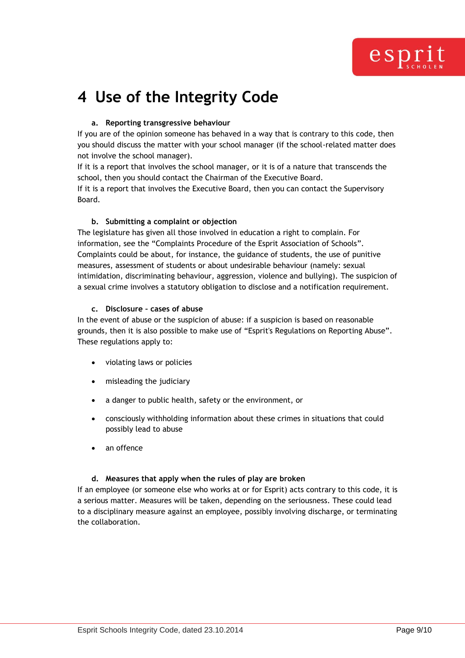

## <span id="page-8-0"></span>**4 Use of the Integrity Code**

#### **a. Reporting transgressive behaviour**

If you are of the opinion someone has behaved in a way that is contrary to this code, then you should discuss the matter with your school manager (if the school-related matter does not involve the school manager).

If it is a report that involves the school manager, or it is of a nature that transcends the school, then you should contact the Chairman of the Executive Board.

If it is a report that involves the Executive Board, then you can contact the Supervisory Board.

#### **b. Submitting a complaint or objection**

The legislature has given all those involved in education a right to complain. For information, see the "Complaints Procedure of the Esprit Association of Schools". Complaints could be about, for instance, the guidance of students, the use of punitive measures, assessment of students or about undesirable behaviour (namely: sexual intimidation, discriminating behaviour, aggression, violence and bullying). The suspicion of a sexual crime involves a statutory obligation to disclose and a notification requirement.

#### **c. Disclosure – cases of abuse**

In the event of abuse or the suspicion of abuse: if a suspicion is based on reasonable grounds, then it is also possible to make use of "Esprit's Regulations on Reporting Abuse". These regulations apply to:

- violating laws or policies
- misleading the judiciary
- a danger to public health, safety or the environment, or
- consciously withholding information about these crimes in situations that could possibly lead to abuse
- an offence

#### **d. Measures that apply when the rules of play are broken**

If an employee (or someone else who works at or for Esprit) acts contrary to this code, it is a serious matter. Measures will be taken, depending on the seriousness. These could lead to a disciplinary measure against an employee, possibly involving discharge, or terminating the collaboration.